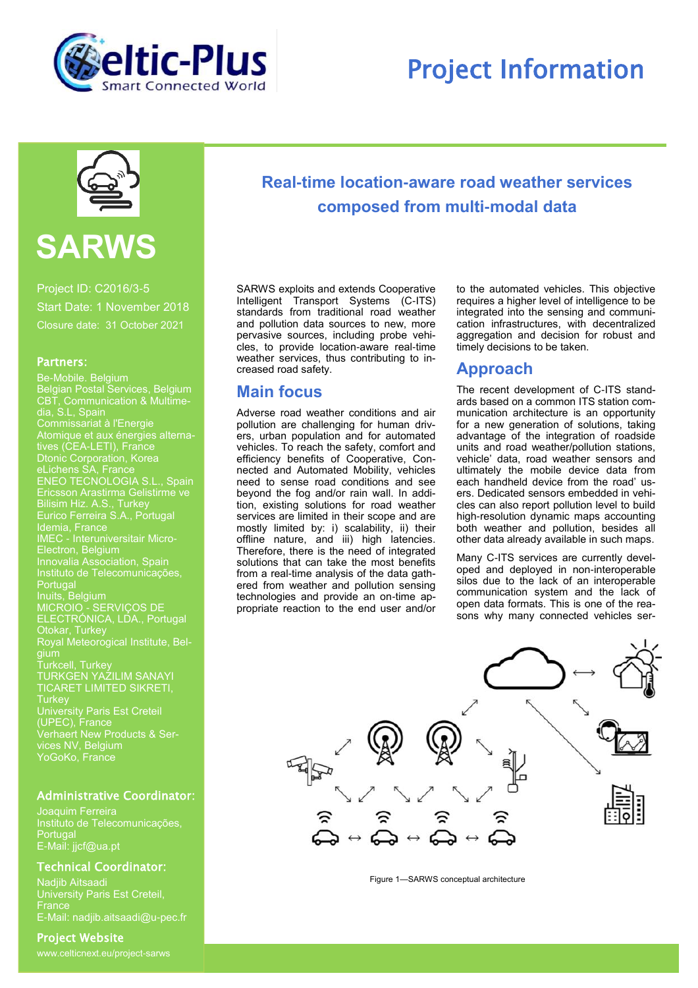

## Project Information



# **SARWS**

Project ID: C2016/3-5 Start Date: 1 November 2018 Closure date: 31 October 2021

#### Partners:

Be-Mobile. Belgium Belgian Postal Services, Belgium CBT, Communication & Multimedia, S.L, Spain Commissariat à l'Energie Atomique et aux énergies alternatives (CEA-LETI), France Dtonic Corporation, Korea eLichens SA, France ENEO TECNOLOGIA S.L., Spain Ericsson Arastirma Gelistirme ve Bilisim Hiz. A.S., Turkey Eurico Ferreira S.A., Portugal Idemia, France IMEC - Interuniversitair Micro-Electron, Belgium Innovalia Association, Spain Instituto de Telecomunicações, Portugal Inuits, Belgium MICROIO - SERVIÇOS DE ELECTRÓNICA, LDA., Portugal Otokar, Turkey Royal Meteorogical Institute, Belgium Turkcell, Turkey TURKGEN YAZILIM SANAYI TICARET LIMITED SIKRETI, **Turkey** University Paris Est Creteil (UPEC), France Verhaert New Products & Services NV, Belgium YoGoKo, France

#### Administrative Coordinator:

**Portugal** E-Mail: jjcf@ua.pt

#### Technical Coordinator:

Nadjib Aitsaadi University Paris Est Creteil, **France** E-Mail: nadjib.aitsaadi@u-pec.fr

#### Project Website

www.celticnext.eu/project-sarws

## **Real-time location-aware road weather services composed from multi-modal data**

SARWS exploits and extends Cooperative Intelligent Transport Systems (C-ITS) standards from traditional road weather and pollution data sources to new, more pervasive sources, including probe vehicles, to provide location-aware real-time weather services, thus contributing to increased road safety.

## **Main focus**

Adverse road weather conditions and air pollution are challenging for human drivers, urban population and for automated vehicles. To reach the safety, comfort and efficiency benefits of Cooperative, Connected and Automated Mobility, vehicles need to sense road conditions and see beyond the fog and/or rain wall. In addition, existing solutions for road weather services are limited in their scope and are mostly limited by: i) scalability, ii) their offline nature, and iii) high latencies. Therefore, there is the need of integrated solutions that can take the most benefits from a real-time analysis of the data gathered from weather and pollution sensing technologies and provide an on-time appropriate reaction to the end user and/or to the automated vehicles. This objective requires a higher level of intelligence to be integrated into the sensing and communication infrastructures, with decentralized aggregation and decision for robust and timely decisions to be taken.

## **Approach**

The recent development of C-ITS standards based on a common ITS station communication architecture is an opportunity for a new generation of solutions, taking advantage of the integration of roadside units and road weather/pollution stations, vehicle' data, road weather sensors and ultimately the mobile device data from each handheld device from the road' users. Dedicated sensors embedded in vehicles can also report pollution level to build high-resolution dynamic maps accounting both weather and pollution, besides all other data already available in such maps.

Many C-ITS services are currently developed and deployed in non-interoperable silos due to the lack of an interoperable communication system and the lack of open data formats. This is one of the reasons why many connected vehicles ser-



Figure 1—SARWS conceptual architecture